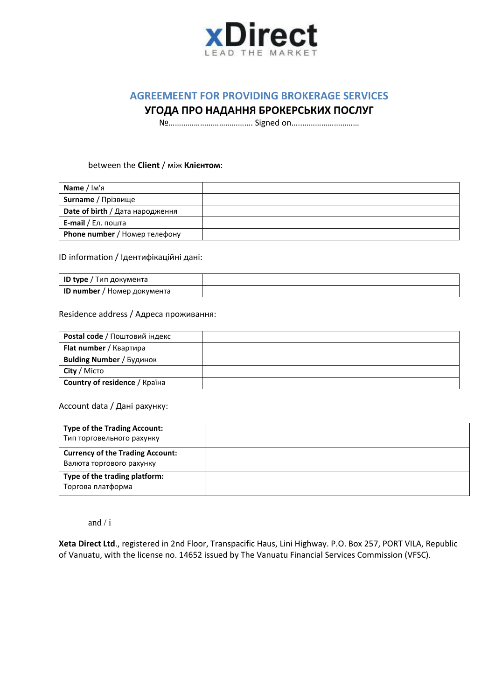

# **AGREEMEENT FOR PROVIDING BROKERAGE SERVICES**

## **УГОДА ПРО НАДАННЯ БРОКЕРСЬКИХ ПОСЛУГ**

№…………………………………. Signed on…..………………………

#### between the **Client** / між **Клієнтом**:

| <b>Name</b> / Ім'я              |  |
|---------------------------------|--|
| Surname / Прізвище              |  |
| Date of birth / Дата народження |  |
| <b>E-mail</b> / Ел. пошта       |  |
| Phone number / Номер телефону   |  |

ID information / Ідентифікаційні дані:

| <b>ID type</b> / Тип документа     |  |
|------------------------------------|--|
| <b>ID number</b> / Номер документа |  |

#### Residence address / Адреса проживання:

| <b>Postal code / Поштовий індекс</b> |  |
|--------------------------------------|--|
| <b>Flat number</b> / Квартира        |  |
| <b>Bulding Number / Будинок</b>      |  |
| City / Micro                         |  |
| <b>Country of residence / Країна</b> |  |

### Account data / Дані рахунку:

| <b>Type of the Trading Account:</b><br>Тип торговельного рахунку    |  |
|---------------------------------------------------------------------|--|
| <b>Currency of the Trading Account:</b><br>Валюта торгового рахунку |  |
| Type of the trading platform:<br>Торгова платформа                  |  |

and / і

**Xeta Direct Ltd**., registered in 2nd Floor, Transpacific Haus, Lini Highway. P.O. Box 257, PORT VILA, Republic of Vanuatu, with the license no. 14652 issued by The Vanuatu Financial Services Commission (VFSC).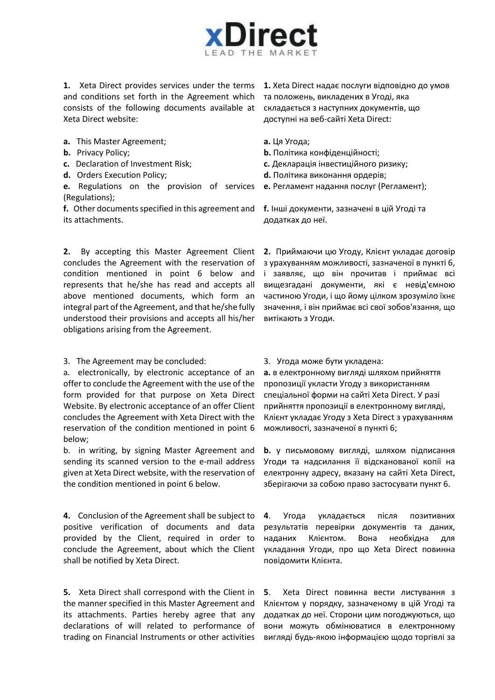

**1.** Xeta Direct provides services under the terms and conditions set forth in the Agreement which consists of the following documents available at Xeta Direct website:

- **a.** This Master Agreement;
- **b.** Privacy Policy;
- **c.** Declaration of Investment Risk;
- **d.** Orders Execution Policy;

**e.** Regulations on the provision of services (Regulations);

**f.** Other documents specified in this agreement and its attachments.

**2.** By accepting this Master Agreement Client concludes the Agreement with the reservation of condition mentioned in point 6 below and represents that he/she has read and accepts all above mentioned documents, which form an integral part of the Agreement, and that he/she fully understood their provisions and accepts all his/her obligations arising from the Agreement.

3. The Agreement may be concluded:

a. electronically, by electronic acceptance of an offer to conclude the Agreement with the use of the form provided for that purpose on Xeta Direct Website. By electronic acceptance of an offer Client concludes the Agreement with Xeta Direct with the reservation of the condition mentioned in point 6 below;

b. in writing, by signing Master Agreement and sending its scanned version to the e-mail address given at Xeta Direct website, with the reservation of the condition mentioned in point 6 below.

**4.** Conclusion of the Agreement shall be subject to positive verification of documents and data provided by the Client, required in order to conclude the Agreement, about which the Client shall be notified by Xeta Direct.

**5.** Xeta Direct shall correspond with the Client in the manner specified in this Master Agreement and its attachments. Parties hereby agree that any declarations of will related to performance of trading on Financial Instruments or other activities

**1.** Xeta Direct надає послуги відповідно до умов та положень, викладених в Угоді, яка складається з наступних документів, що доступні на веб-сайті Xeta Direct:

**a.** Ця Угода;

- **b.** Політика конфіденційності;
- **с.** Декларація інвестиційного ризику;
- **d.** Політика виконання ордерів;
- **e.** Регламент надання послуг (Регламент);

**f.** Інші документи, зазначені в цій Угоді та додатках до неї.

**2.** Приймаючи цю Угоду, Клієнт укладає договір з урахуванням можливості, зазначеної в пункті 6, і заявляє, що він прочитав і приймає всі вищезгадані документи, які є невід'ємною частиною Угоди, і що йому цілком зрозуміло їхнє значення, і він приймає всі свої зобов'язання, що витікають з Угоди.

3. Угода може бути укладена:

**a.** в електронному вигляді шляхом прийняття пропозиції укласти Угоду з використанням спеціальної форми на сайті Xeta Direct. У разі прийняття пропозиції в електронному вигляді, Клієнт укладає Угоду з Xeta Direct з урахуванням можливості, зазначеної в пункті 6;

**b.** у письмовому вигляді, шляхом підписання Угоди та надсилання її відсканованої копії на електронну адресу, вказану на сайті Xeta Direct, зберігаючи за собою право застосувати пункт 6.

**4**. Угода укладається після позитивних результатів перевірки документів та даних, наданих Клієнтом. Вона необхідна для укладання Угоди, про що Xeta Direct повинна повідомити Клієнта.

**5**. Xeta Direct повинна вести листування з Клієнтом у порядку, зазначеному в цій Угоді та додатках до неї. Сторони цим погоджуються, що вони можуть обмінюватися в електронному вигляді будь-якою інформацією щодо торгівлі за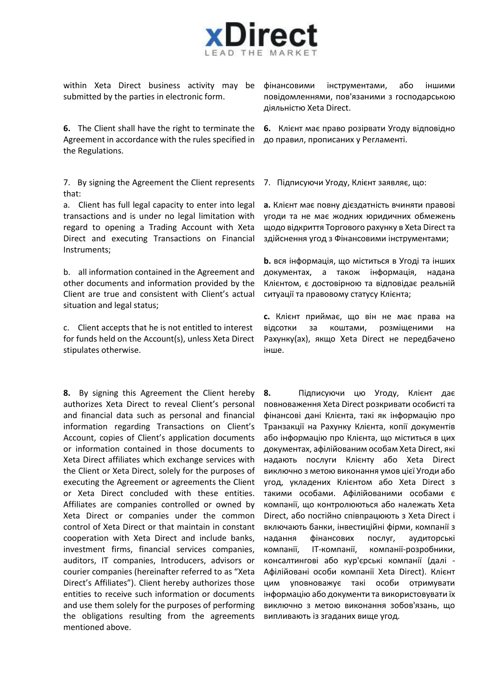

within Xeta Direct business activity may be submitted by the parties in electronic form.

**6.** The Client shall have the right to terminate the Agreement in accordance with the rules specified in the Regulations.

7. By signing the Agreement the Client represents that:

a. Client has full legal capacity to enter into legal transactions and is under no legal limitation with regard to opening a Trading Account with Xeta Direct and executing Transactions on Financial Instruments;

b. all information contained in the Agreement and other documents and information provided by the Client are true and consistent with Client's actual situation and legal status;

c. Client accepts that he is not entitled to interest for funds held on the Account(s), unless Xeta Direct stipulates otherwise.

**8.** By signing this Agreement the Client hereby authorizes Xeta Direct to reveal Client's personal and financial data such as personal and financial information regarding Transactions on Client's Account, copies of Client's application documents or information contained in those documents to Xeta Direct affiliates which exchange services with the Client or Xeta Direct, solely for the purposes of executing the Agreement or agreements the Client or Xeta Direct concluded with these entities. Affiliates are companies controlled or owned by Xeta Direct or companies under the common control of Xeta Direct or that maintain in constant cooperation with Xeta Direct and include banks, investment firms, financial services companies, auditors, IT companies, Introducers, advisors or courier companies (hereinafter referred to as "Xeta Direct's Affiliates"). Client hereby authorizes those entities to receive such information or documents and use them solely for the purposes of performing the obligations resulting from the agreements mentioned above.

фінансовими інструментами, або іншими повідомленнями, пов'язаними з господарською діяльністю Xeta Direct.

**6.** Клієнт має право розірвати Угоду відповідно до правил, прописаних у Регламенті.

7. Підписуючи Угоду, Клієнт заявляє, що:

**a.** Клієнт має повну дієздатність вчиняти правові угоди та не має жодних юридичних обмежень щодо відкриття Торгового рахунку в Xeta Direct та здійснення угод з Фінансовими інструментами;

**b.** вся інформація, що міститься в Угоді та інших документах, а також інформація, надана Клієнтом, є достовірною та відповідає реальній ситуації та правовому статусу Клієнта;

**с.** Клієнт приймає, що він не має права на відсотки за коштами, розміщеними на Рахунку(ах), якщо Xeta Direct не передбачено інше.

**8.** Підписуючи цю Угоду, Клієнт дає повноваження Xeta Direct розкривати особисті та фінансові дані Клієнта, такі як інформацію про Транзакції на Рахунку Клієнта, копії документів або інформацію про Клієнта, що міститься в цих документах, афілійованим особам Xeta Direct, які надають послуги Клієнту або Xeta Direct виключно з метою виконання умов цієї Угоди або угод, укладених Клієнтом або Xeta Direct з такими особами. Афілійованими особами є компанії, що контролюються або належать Xeta Direct, або постійно співпрацюють з Xeta Direct і включають банки, інвестиційні фірми, компанії з надання фінансових послуг, аудиторські компанії, ІТ-компанії, компанії-розробники, консалтингові або кур'єрські компанії (далі - Афілійовані особи компанії Xeta Direct). Клієнт цим уповноважує такі особи отримувати інформацію або документи та використовувати їх виключно з метою виконання зобов'язань, що випливають із згаданих вище угод.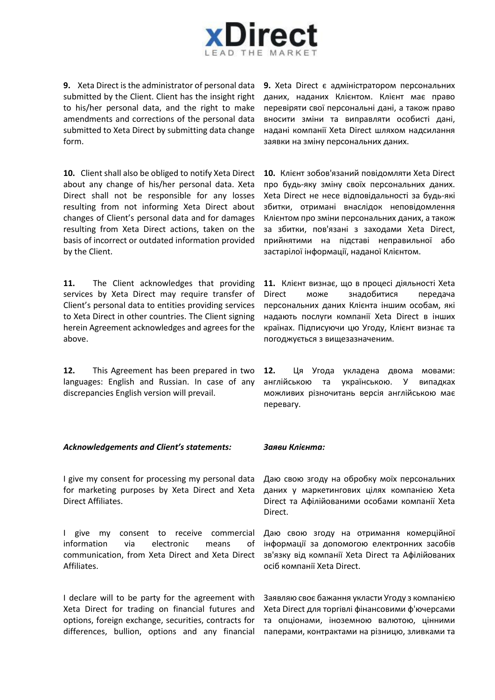

**9.** Xeta Direct is the administrator of personal data submitted by the Client. Client has the insight right to his/her personal data, and the right to make amendments and corrections of the personal data submitted to Xeta Direct by submitting data change form.

**10.** Client shall also be obliged to notify Xeta Direct about any change of his/her personal data. Xeta Direct shall not be responsible for any losses resulting from not informing Xeta Direct about changes of Client's personal data and for damages resulting from Xeta Direct actions, taken on the basis of incorrect or outdated information provided by the Client.

11. The Client acknowledges that providing services by Xeta Direct may require transfer of Client's personal data to entities providing services to Xeta Direct in other countries. The Client signing herein Agreement acknowledges and agrees for the above.

**12.** This Agreement has been prepared in two languages: English and Russian. In case of any discrepancies English version will prevail.

*Acknowledgements and Client's statements: Заяви Клієнта:*

I give my consent for processing my personal data for marketing purposes by Xeta Direct and Xeta Direct Affiliates.

I give my consent to receive commercial information via electronic means of communication, from Xeta Direct and Xeta Direct Affiliates.

I declare will to be party for the agreement with Xeta Direct for trading on financial futures and options, foreign exchange, securities, contracts for differences, bullion, options and any financial

**9.** Xeta Direct є адміністратором персональних даних, наданих Клієнтом. Клієнт має право перевіряти свої персональні дані, а також право вносити зміни та виправляти особисті дані, надані компанії Xeta Direct шляхом надсилання заявки на зміну персональних даних.

**10.** Клієнт зобов'язаний повідомляти Xeta Direct про будь-яку зміну своїх персональних даних. Xeta Direct не несе відповідальності за будь-які збитки, отримані внаслідок неповідомлення Клієнтом про зміни персональних даних, а також за збитки, пов'язані з заходами Xeta Direct, прийнятими на підставі неправильної або застарілої інформації, наданої Клієнтом.

**11.** Клієнт визнає, що в процесі діяльності Xeta Direct може знадобитися передача персональних даних Клієнта іншим особам, які надають послуги компанії Xeta Direct в інших країнах. Підписуючи цю Угоду, Клієнт визнає та погоджується з вищезазначеним.

**12.** Ця Угода укладена двома мовами: англійською та українською. У випадках можливих різночитань версія англійською має перевагу.

Даю свою згоду на обробку моїх персональних даних у маркетингових цілях компанією Xeta Direct та Афілійованими особами компанії Xeta Direct.

Даю свою згоду на отримання комерційної інформації за допомогою електронних засобів зв'язку від компанії Xeta Direct та Афілійованих осіб компанії Xeta Direct.

Заявляю своє бажання укласти Угоду з компанією Xeta Direct для торгівлі фінансовими ф'ючерсами та опціонами, іноземною валютою, цінними паперами, контрактами на різницю, зливками та